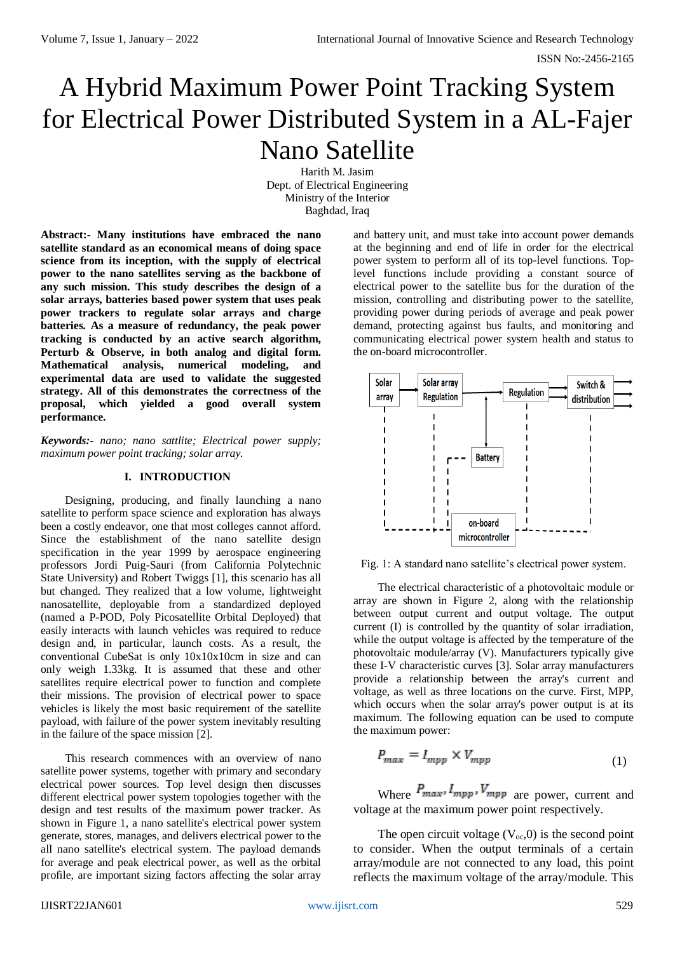# A Hybrid Maximum Power Point Tracking System for Electrical Power Distributed System in a AL-Fajer Nano Satellite

Harith M. Jasim Dept. of Electrical Engineering Ministry of the Interior Baghdad, Iraq

**Abstract:- Many institutions have embraced the nano satellite standard as an economical means of doing space science from its inception, with the supply of electrical power to the nano satellites serving as the backbone of any such mission. This study describes the design of a solar arrays, batteries based power system that uses peak power trackers to regulate solar arrays and charge batteries. As a measure of redundancy, the peak power tracking is conducted by an active search algorithm, Perturb & Observe, in both analog and digital form. Mathematical analysis, numerical modeling, and experimental data are used to validate the suggested strategy. All of this demonstrates the correctness of the proposal, which yielded a good overall system performance.**

*Keywords:- nano; nano sattlite; Electrical power supply; maximum power point tracking; solar array.*

## **I. INTRODUCTION**

Designing, producing, and finally launching a nano satellite to perform space science and exploration has always been a costly endeavor, one that most colleges cannot afford. Since the establishment of the nano satellite design specification in the year 1999 by aerospace engineering professors Jordi Puig-Sauri (from California Polytechnic State University) and Robert Twiggs [1], this scenario has all but changed. They realized that a low volume, lightweight nanosatellite, deployable from a standardized deployed (named a P-POD, Poly Picosatellite Orbital Deployed) that easily interacts with launch vehicles was required to reduce design and, in particular, launch costs. As a result, the conventional CubeSat is only 10x10x10cm in size and can only weigh 1.33kg. It is assumed that these and other satellites require electrical power to function and complete their missions. The provision of electrical power to space vehicles is likely the most basic requirement of the satellite payload, with failure of the power system inevitably resulting in the failure of the space mission [2].

This research commences with an overview of nano satellite power systems, together with primary and secondary electrical power sources. Top level design then discusses different electrical power system topologies together with the design and test results of the maximum power tracker. As shown in Figure 1, a nano satellite's electrical power system generate, stores, manages, and delivers electrical power to the all nano satellite's electrical system. The payload demands for average and peak electrical power, as well as the orbital profile, are important sizing factors affecting the solar array

and battery unit, and must take into account power demands at the beginning and end of life in order for the electrical power system to perform all of its top-level functions. Toplevel functions include providing a constant source of electrical power to the satellite bus for the duration of the mission, controlling and distributing power to the satellite, providing power during periods of average and peak power demand, protecting against bus faults, and monitoring and communicating electrical power system health and status to the on-board microcontroller.



Fig. 1: A standard nano satellite's electrical power system.

The electrical characteristic of a photovoltaic module or array are shown in Figure 2, along with the relationship between output current and output voltage. The output current (I) is controlled by the quantity of solar irradiation, while the output voltage is affected by the temperature of the photovoltaic module/array (V). Manufacturers typically give these I-V characteristic curves [3]. Solar array manufacturers provide a relationship between the array's current and voltage, as well as three locations on the curve. First, MPP, which occurs when the solar array's power output is at its maximum. The following equation can be used to compute the maximum power:

$$
P_{max} = I_{mpp} \times V_{mpp} \tag{1}
$$

Where  $P_{max}$ ,  $I_{mpp}$ ,  $V_{mpp}$  are power, current and voltage at the maximum power point respectively.

The open circuit voltage  $(V_{oc}, 0)$  is the second point to consider. When the output terminals of a certain array/module are not connected to any load, this point reflects the maximum voltage of the array/module. This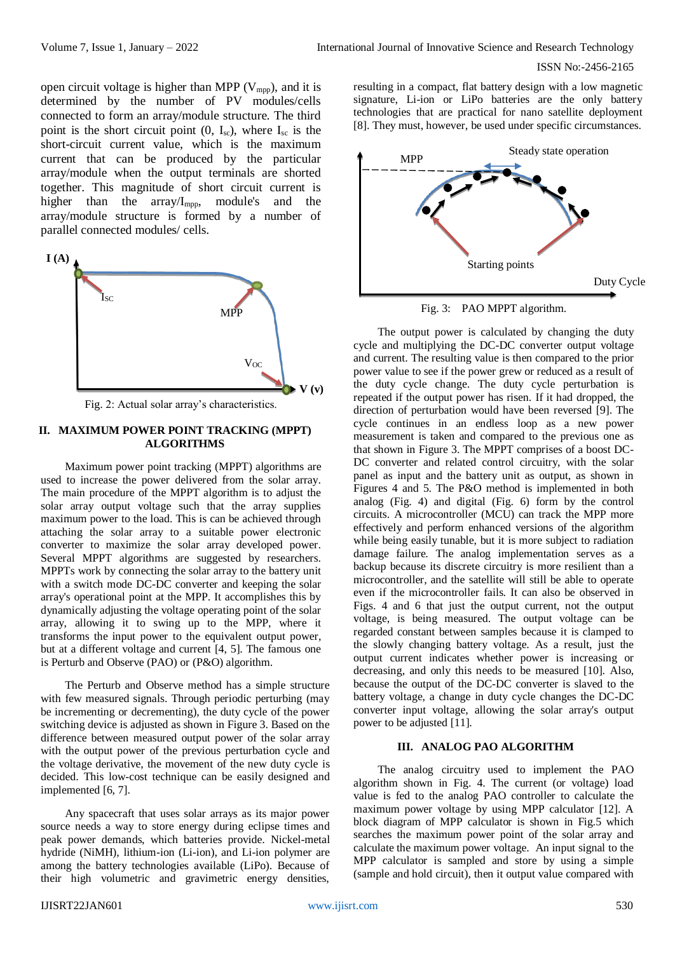ISSN No:-2456-2165

open circuit voltage is higher than MPP ( $V_{\text{mpp}}$ ), and it is determined by the number of PV modules/cells connected to form an array/module structure. The third point is the short circuit point  $(0, I_{sc})$ , where  $I_{sc}$  is the short-circuit current value, which is the maximum current that can be produced by the particular array/module when the output terminals are shorted together. This magnitude of short circuit current is higher than the array/Impp, module's and the array/module structure is formed by a number of parallel connected modules/ cells.



Fig. 2: Actual solar array's characteristics.

#### **II. MAXIMUM POWER POINT TRACKING (MPPT) ALGORITHMS**

Maximum power point tracking (MPPT) algorithms are used to increase the power delivered from the solar array. The main procedure of the MPPT algorithm is to adjust the solar array output voltage such that the array supplies maximum power to the load. This is can be achieved through attaching the solar array to a suitable power electronic converter to maximize the solar array developed power. Several MPPT algorithms are suggested by researchers. MPPTs work by connecting the solar array to the battery unit with a switch mode DC-DC converter and keeping the solar array's operational point at the MPP. It accomplishes this by dynamically adjusting the voltage operating point of the solar array, allowing it to swing up to the MPP, where it transforms the input power to the equivalent output power, but at a different voltage and current [4, 5]. The famous one is Perturb and Observe (PAO) or (P&O) algorithm.

The Perturb and Observe method has a simple structure with few measured signals. Through periodic perturbing (may be incrementing or decrementing), the duty cycle of the power switching device is adjusted as shown in Figure 3. Based on the difference between measured output power of the solar array with the output power of the previous perturbation cycle and the voltage derivative, the movement of the new duty cycle is decided. This low-cost technique can be easily designed and implemented [6, 7].

Any spacecraft that uses solar arrays as its major power source needs a way to store energy during eclipse times and peak power demands, which batteries provide. Nickel-metal hydride (NiMH), lithium-ion (Li-ion), and Li-ion polymer are among the battery technologies available (LiPo). Because of their high volumetric and gravimetric energy densities,

resulting in a compact, flat battery design with a low magnetic signature, Li-ion or LiPo batteries are the only battery technologies that are practical for nano satellite deployment [8]. They must, however, be used under specific circumstances.



Fig. 3: PAO MPPT algorithm.

The output power is calculated by changing the duty cycle and multiplying the DC-DC converter output voltage and current. The resulting value is then compared to the prior power value to see if the power grew or reduced as a result of the duty cycle change. The duty cycle perturbation is repeated if the output power has risen. If it had dropped, the direction of perturbation would have been reversed [9]. The cycle continues in an endless loop as a new power measurement is taken and compared to the previous one as that shown in Figure 3. The MPPT comprises of a boost DC-DC converter and related control circuitry, with the solar panel as input and the battery unit as output, as shown in Figures 4 and 5. The P&O method is implemented in both analog (Fig. 4) and digital (Fig. 6) form by the control circuits. A microcontroller (MCU) can track the MPP more effectively and perform enhanced versions of the algorithm while being easily tunable, but it is more subject to radiation damage failure. The analog implementation serves as a backup because its discrete circuitry is more resilient than a microcontroller, and the satellite will still be able to operate even if the microcontroller fails. It can also be observed in Figs. 4 and 6 that just the output current, not the output voltage, is being measured. The output voltage can be regarded constant between samples because it is clamped to the slowly changing battery voltage. As a result, just the output current indicates whether power is increasing or decreasing, and only this needs to be measured [10]. Also, because the output of the DC-DC converter is slaved to the battery voltage, a change in duty cycle changes the DC-DC converter input voltage, allowing the solar array's output power to be adjusted [11].

## **III. ANALOG PAO ALGORITHM**

The analog circuitry used to implement the PAO algorithm shown in Fig. 4. The current (or voltage) load value is fed to the analog PAO controller to calculate the maximum power voltage by using MPP calculator [12]. A block diagram of MPP calculator is shown in Fig.5 which searches the maximum power point of the solar array and calculate the maximum power voltage. An input signal to the MPP calculator is sampled and store by using a simple (sample and hold circuit), then it output value compared with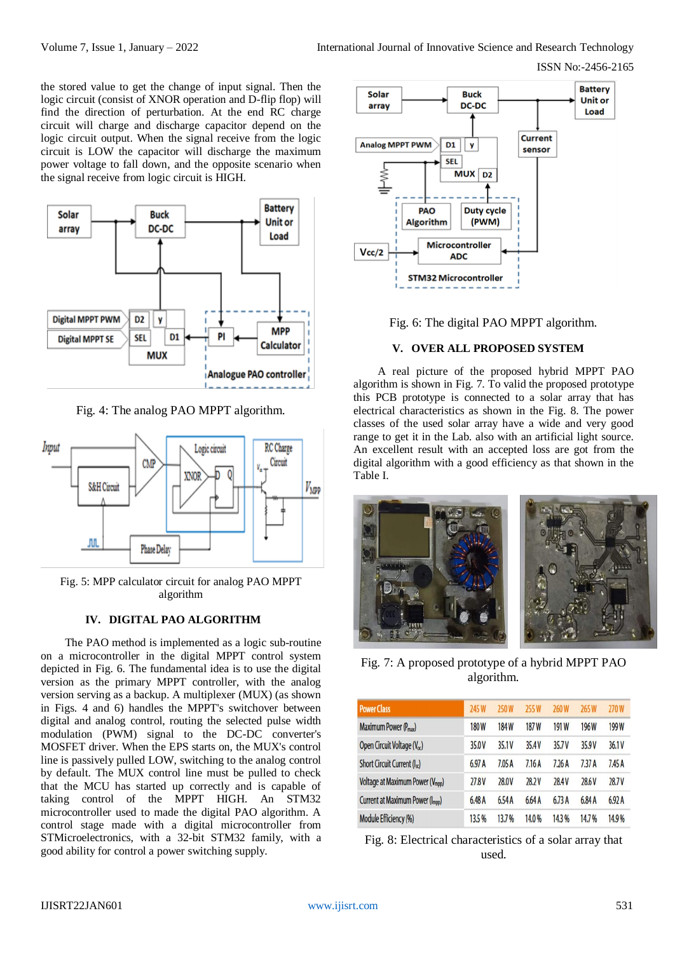ISSN No:-2456-2165

the stored value to get the change of input signal. Then the logic circuit (consist of XNOR operation and D-flip flop) will find the direction of perturbation. At the end RC charge circuit will charge and discharge capacitor depend on the logic circuit output. When the signal receive from the logic circuit is LOW the capacitor will discharge the maximum power voltage to fall down, and the opposite scenario when the signal receive from logic circuit is HIGH.



Fig. 4: The analog PAO MPPT algorithm.



Fig. 5: MPP calculator circuit for analog PAO MPPT algorithm

## **IV. DIGITAL PAO ALGORITHM**

The PAO method is implemented as a logic sub-routine on a microcontroller in the digital MPPT control system depicted in Fig. 6. The fundamental idea is to use the digital version as the primary MPPT controller, with the analog version serving as a backup. A multiplexer (MUX) (as shown in Figs. 4 and 6) handles the MPPT's switchover between digital and analog control, routing the selected pulse width modulation (PWM) signal to the DC-DC converter's MOSFET driver. When the EPS starts on, the MUX's control line is passively pulled LOW, switching to the analog control by default. The MUX control line must be pulled to check that the MCU has started up correctly and is capable of taking control of the MPPT HIGH. An STM32 microcontroller used to made the digital PAO algorithm. A control stage made with a digital microcontroller from STMicroelectronics, with a 32-bit STM32 family, with a good ability for control a power switching supply.



Fig. 6: The digital PAO MPPT algorithm.

#### **V. OVER ALL PROPOSED SYSTEM**

A real picture of the proposed hybrid MPPT PAO algorithm is shown in Fig. 7. To valid the proposed prototype this PCB prototype is connected to a solar array that has electrical characteristics as shown in the Fig. 8. The power classes of the used solar array have a wide and very good range to get it in the Lab. also with an artificial light source. An excellent result with an accepted loss are got from the digital algorithm with a good efficiency as that shown in the Table I.



Fig. 7: A proposed prototype of a hybrid MPPT PAO algorithm.

| <b>Power Class</b>                           | 245 W       | 250W  | <b>255W</b> | <b>260W</b> | 265W              | 270W  |
|----------------------------------------------|-------------|-------|-------------|-------------|-------------------|-------|
| Maximum Power (P <sub>max</sub> )            | <b>180W</b> | 184 W | 187 W       | 191 W       | 196W              | 199W  |
| Open Circuit Voltage (V <sub>oc</sub> )      | 35.0V       | 35.1V | 35.4V       | 35.7V       | 35.9V             | 36.1V |
| Short Circuit Current (I <sub>sc</sub> )     | 6.97A       | 7.05A | 7.16A       | 7.26A       | 7.37 <sub>A</sub> | 7.45A |
| Voltage at Maximum Power (V <sub>mpp</sub> ) | 27.8V       | 28.0V | 28.2V       | 28.4V       | 28.6V             | 28.7V |
| Current at Maximum Power (I <sub>mpp</sub> ) | 6.48 A      | 6.54A | 6.64A       | 6.73A       | 6.84 A            | 6.92A |
| <b>Module Efficiency (%)</b>                 | 13.5%       | 13.7% | 14.0%       | 14.3%       | 14.7%             | 14.9% |

Fig. 8: Electrical characteristics of a solar array that used.